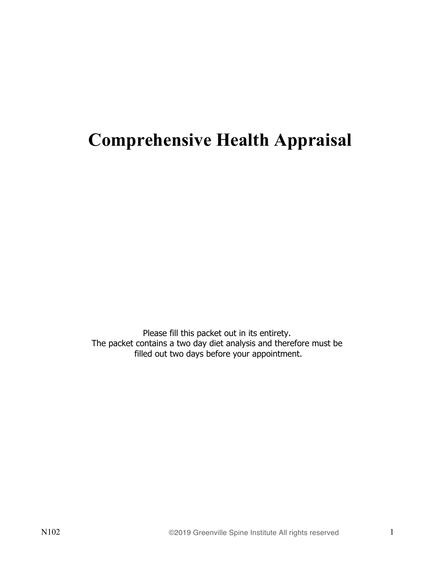# **Comprehensive Health Appraisal**

Please fill this packet out in its entirety. The packet contains a two day diet analysis and therefore must be filled out two days before your appointment.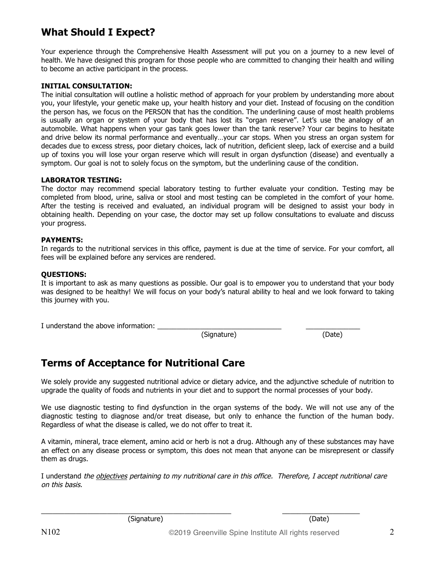## **What Should I Expect?**

Your experience through the Comprehensive Health Assessment will put you on a journey to a new level of health. We have designed this program for those people who are committed to changing their health and willing to become an active participant in the process.

#### **INITIAL CONSULTATION:**

The initial consultation will outline a holistic method of approach for your problem by understanding more about you, your lifestyle, your genetic make up, your health history and your diet. Instead of focusing on the condition the person has, we focus on the PERSON that has the condition. The underlining cause of most health problems is usually an organ or system of your body that has lost its "organ reserve". Let's use the analogy of an automobile. What happens when your gas tank goes lower than the tank reserve? Your car begins to hesitate and drive below its normal performance and eventually…your car stops. When you stress an organ system for decades due to excess stress, poor dietary choices, lack of nutrition, deficient sleep, lack of exercise and a build up of toxins you will lose your organ reserve which will result in organ dysfunction (disease) and eventually a symptom. Our goal is not to solely focus on the symptom, but the underlining cause of the condition.

#### **LABORATOR TESTING:**

The doctor may recommend special laboratory testing to further evaluate your condition. Testing may be completed from blood, urine, saliva or stool and most testing can be completed in the comfort of your home. After the testing is received and evaluated, an individual program will be designed to assist your body in obtaining health. Depending on your case, the doctor may set up follow consultations to evaluate and discuss your progress.

#### **PAYMENTS:**

In regards to the nutritional services in this office, payment is due at the time of service. For your comfort, all fees will be explained before any services are rendered.

#### **QUESTIONS:**

It is important to ask as many questions as possible. Our goal is to empower you to understand that your body was designed to be healthy! We will focus on your body's natural ability to heal and we look forward to taking this journey with you.

I understand the above information:

(Signature) (Date)

### **Terms of Acceptance for Nutritional Care**

We solely provide any suggested nutritional advice or dietary advice, and the adjunctive schedule of nutrition to upgrade the quality of foods and nutrients in your diet and to support the normal processes of your body.

We use diagnostic testing to find dysfunction in the organ systems of the body. We will not use any of the diagnostic testing to diagnose and/or treat disease, but only to enhance the function of the human body. Regardless of what the disease is called, we do not offer to treat it.

A vitamin, mineral, trace element, amino acid or herb is not a drug. Although any of these substances may have an effect on any disease process or symptom, this does not mean that anyone can be misrepresent or classify them as drugs.

I understand the *objectives pertaining to my nutritional care in this office. Therefore, I accept nutritional care* on this basis.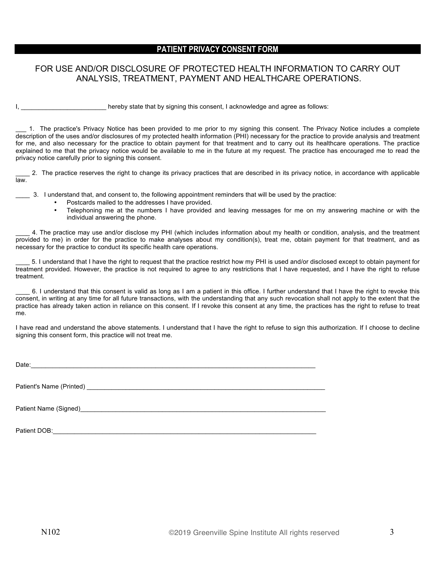#### **PATIENT PRIVACY CONSENT FORM**

#### FOR USE AND/OR DISCLOSURE OF PROTECTED HEALTH INFORMATION TO CARRY OUT ANALYSIS, TREATMENT, PAYMENT AND HEALTHCARE OPERATIONS.

I, the state that by signing this consent. I acknowledge and agree as follows:

\_\_\_ 1. The practice's Privacy Notice has been provided to me prior to my signing this consent. The Privacy Notice includes a complete description of the uses and/or disclosures of my protected health information (PHI) necessary for the practice to provide analysis and treatment for me, and also necessary for the practice to obtain payment for that treatment and to carry out its healthcare operations. The practice explained to me that the privacy notice would be available to me in the future at my request. The practice has encouraged me to read the privacy notice carefully prior to signing this consent.

\_\_\_\_ 2. The practice reserves the right to change its privacy practices that are described in its privacy notice, in accordance with applicable law.

\_\_\_\_ 3. I understand that, and consent to, the following appointment reminders that will be used by the practice:

- Postcards mailed to the addresses I have provided.
- Telephoning me at the numbers I have provided and leaving messages for me on my answering machine or with the individual answering the phone.

\_\_\_\_ 4. The practice may use and/or disclose my PHI (which includes information about my health or condition, analysis, and the treatment provided to me) in order for the practice to make analyses about my condition(s), treat me, obtain payment for that treatment, and as necessary for the practice to conduct its specific health care operations.

\_\_\_\_ 5. I understand that I have the right to request that the practice restrict how my PHI is used and/or disclosed except to obtain payment for treatment provided. However, the practice is not required to agree to any restrictions that I have requested, and I have the right to refuse treatment.

\_\_\_\_ 6. I understand that this consent is valid as long as I am a patient in this office. I further understand that I have the right to revoke this consent, in writing at any time for all future transactions, with the understanding that any such revocation shall not apply to the extent that the practice has already taken action in reliance on this consent. If I revoke this consent at any time, the practices has the right to refuse to treat me.

I have read and understand the above statements. I understand that I have the right to refuse to sign this authorization. If I choose to decline signing this consent form, this practice will not treat me.

Date:\_\_\_\_\_\_\_\_\_\_\_\_\_\_\_\_\_\_\_\_\_\_\_\_\_\_\_\_\_\_\_\_\_\_\_\_\_\_\_\_\_\_\_\_\_\_\_\_\_\_\_\_\_\_\_\_\_\_\_\_\_\_\_\_\_\_\_\_\_\_\_\_\_\_\_\_\_\_\_\_

Patient's Name (Printed) \_\_\_\_\_\_\_\_\_\_\_\_\_\_\_\_\_\_\_\_\_\_\_\_\_\_\_\_\_\_\_\_\_\_\_\_\_\_\_\_\_\_\_\_\_\_\_\_\_\_\_\_\_\_\_\_\_\_\_\_\_\_\_\_\_\_\_

Patient Name (Signed)

Patient DOB: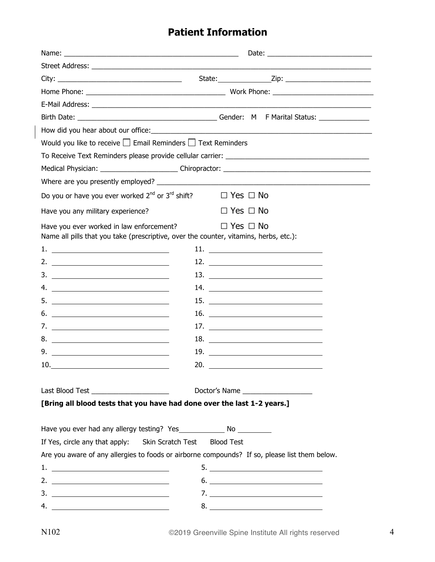## **Patient Information**

|                                                                                                                                   | How did you hear about our office: Notified a state of the state of the state of the state of the state of the |
|-----------------------------------------------------------------------------------------------------------------------------------|----------------------------------------------------------------------------------------------------------------|
| Would you like to receive $\Box$ Email Reminders $\Box$ Text Reminders                                                            |                                                                                                                |
|                                                                                                                                   |                                                                                                                |
|                                                                                                                                   |                                                                                                                |
|                                                                                                                                   |                                                                                                                |
| Do you or have you ever worked 2 <sup>nd</sup> or 3 <sup>rd</sup> shift?                                                          | $\square$ Yes $\square$ No                                                                                     |
| Have you any military experience?                                                                                                 | $\Box$ Yes $\Box$ No                                                                                           |
| Have you ever worked in law enforcement?<br>Name all pills that you take (prescriptive, over the counter, vitamins, herbs, etc.): | $\Box$ Yes $\Box$ No                                                                                           |
|                                                                                                                                   |                                                                                                                |
|                                                                                                                                   |                                                                                                                |
| $\overline{\mathbf{3.}}$ $\overline{\mathbf{10.}}$                                                                                |                                                                                                                |
|                                                                                                                                   |                                                                                                                |
|                                                                                                                                   |                                                                                                                |
|                                                                                                                                   | 16. $\qquad \qquad$                                                                                            |
|                                                                                                                                   | 17. $\qquad \qquad$                                                                                            |
|                                                                                                                                   | 18.                                                                                                            |
| 9.                                                                                                                                | 19.                                                                                                            |
| $\begin{array}{c c c c c} \hline 10. & \quad & \quad & \quad & \quad & \quad & \quad & \quad & \quad \\ \hline \end{array}$       | 20.                                                                                                            |
|                                                                                                                                   |                                                                                                                |
| Last Blood Test ________________________                                                                                          | Doctor's Name _____________________                                                                            |
| [Bring all blood tests that you have had done over the last 1-2 years.]                                                           |                                                                                                                |
| Have you ever had any allergy testing? Yes_________________ No ____________                                                       |                                                                                                                |
| If Yes, circle any that apply: Skin Scratch Test                                                                                  | <b>Blood Test</b>                                                                                              |
|                                                                                                                                   | Are you aware of any allergies to foods or airborne compounds? If so, please list them below.                  |
|                                                                                                                                   |                                                                                                                |
|                                                                                                                                   |                                                                                                                |
|                                                                                                                                   |                                                                                                                |
| 4. $\overline{\phantom{a}}$                                                                                                       |                                                                                                                |

 $\overline{\phantom{a}}$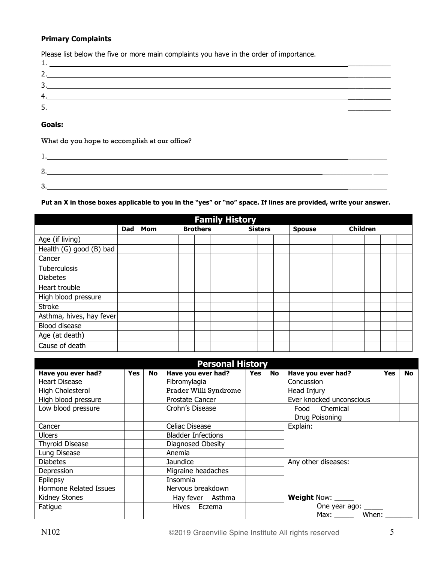#### **Primary Complaints**

| Please list below the five or more main complaints you have in the order of importance.                               |  |
|-----------------------------------------------------------------------------------------------------------------------|--|
| <u> 1989 - Johann Stoff, deutscher Stoffen und der Stoffen und der Stoffen und der Stoffen und der Stoffen und de</u> |  |
|                                                                                                                       |  |
| 3.                                                                                                                    |  |
| 4.                                                                                                                    |  |
| 5                                                                                                                     |  |

#### **Goals:**

What do you hope to accomplish at our office?

| r.<br>L |  |  |
|---------|--|--|
|         |  |  |

#### **Put an X in those boxes applicable to you in the "yes" or "no" space. If lines are provided, write your answer.**

| <b>Family History</b>    |            |            |  |                 |  |  |  |                |  |  |               |                 |  |  |  |  |  |
|--------------------------|------------|------------|--|-----------------|--|--|--|----------------|--|--|---------------|-----------------|--|--|--|--|--|
|                          | <b>Dad</b> | <b>Mom</b> |  | <b>Brothers</b> |  |  |  | <b>Sisters</b> |  |  | <b>Spouse</b> | <b>Children</b> |  |  |  |  |  |
| Age (if living)          |            |            |  |                 |  |  |  |                |  |  |               |                 |  |  |  |  |  |
| Health (G) good (B) bad  |            |            |  |                 |  |  |  |                |  |  |               |                 |  |  |  |  |  |
| Cancer                   |            |            |  |                 |  |  |  |                |  |  |               |                 |  |  |  |  |  |
| Tuberculosis             |            |            |  |                 |  |  |  |                |  |  |               |                 |  |  |  |  |  |
| <b>Diabetes</b>          |            |            |  |                 |  |  |  |                |  |  |               |                 |  |  |  |  |  |
| Heart trouble            |            |            |  |                 |  |  |  |                |  |  |               |                 |  |  |  |  |  |
| High blood pressure      |            |            |  |                 |  |  |  |                |  |  |               |                 |  |  |  |  |  |
| <b>Stroke</b>            |            |            |  |                 |  |  |  |                |  |  |               |                 |  |  |  |  |  |
| Asthma, hives, hay fever |            |            |  |                 |  |  |  |                |  |  |               |                 |  |  |  |  |  |
| Blood disease            |            |            |  |                 |  |  |  |                |  |  |               |                 |  |  |  |  |  |
| Age (at death)           |            |            |  |                 |  |  |  |                |  |  |               |                 |  |  |  |  |  |
| Cause of death           |            |            |  |                 |  |  |  |                |  |  |               |                 |  |  |  |  |  |

| <b>Personal History</b> |     |           |                           |     |           |                          |            |           |  |  |
|-------------------------|-----|-----------|---------------------------|-----|-----------|--------------------------|------------|-----------|--|--|
| Have you ever had?      | Yes | <b>No</b> | Have you ever had?        | Yes | <b>No</b> | Have you ever had?       | <b>Yes</b> | <b>No</b> |  |  |
| Heart Disease           |     |           | Fibromylagia              |     |           | Concussion               |            |           |  |  |
| High Cholesterol        |     |           | Prader Willi Syndrome     |     |           | Head Injury              |            |           |  |  |
| High blood pressure     |     |           | Prostate Cancer           |     |           | Ever knocked unconscious |            |           |  |  |
| Low blood pressure      |     |           | Crohn's Disease           |     |           | Food Chemical            |            |           |  |  |
|                         |     |           |                           |     |           | Drug Poisoning           |            |           |  |  |
| Cancer                  |     |           | Celiac Disease            |     |           | Explain:                 |            |           |  |  |
| <b>Ulcers</b>           |     |           | <b>Bladder Infections</b> |     |           |                          |            |           |  |  |
| <b>Thyroid Disease</b>  |     |           | Diagnosed Obesity         |     |           |                          |            |           |  |  |
| Lung Disease            |     |           | Anemia                    |     |           |                          |            |           |  |  |
| <b>Diabetes</b>         |     |           | Jaundice                  |     |           | Any other diseases:      |            |           |  |  |
| Depression              |     |           | Migraine headaches        |     |           |                          |            |           |  |  |
| Epilepsy                |     |           | Insomnia                  |     |           |                          |            |           |  |  |
| Hormone Related Issues  |     |           | Nervous breakdown         |     |           |                          |            |           |  |  |
| Kidney Stones           |     |           | Hay fever Asthma          |     |           | Weight Now: _____        |            |           |  |  |
| Fatigue                 |     |           | Hives Eczema              |     |           | One year ago: _____      |            |           |  |  |
|                         |     |           |                           |     |           | Max: When:               |            |           |  |  |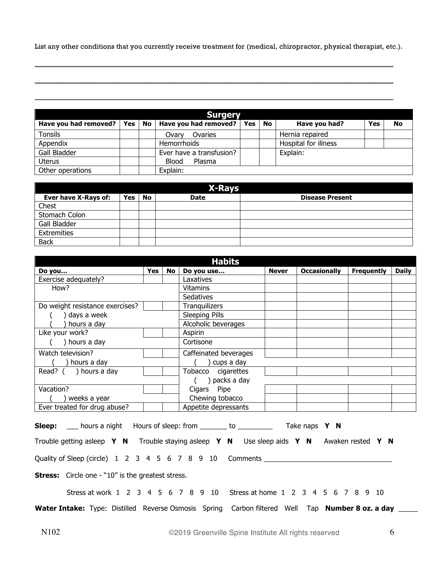List any other conditions that you currently receive treatment for (medical, chiropractor, physical therapist, etc.).

\_\_\_\_\_\_\_\_\_\_\_\_\_\_\_\_\_\_\_\_\_\_\_\_\_\_\_\_\_\_\_\_\_\_\_\_\_\_\_\_\_\_\_\_\_\_\_\_\_\_\_\_\_\_\_\_\_\_\_\_\_\_\_\_\_\_\_\_\_\_\_\_\_\_\_\_\_\_\_\_\_\_\_\_\_\_\_\_\_\_\_\_\_\_\_\_\_\_\_\_\_

\_\_\_\_\_\_\_\_\_\_\_\_\_\_\_\_\_\_\_\_\_\_\_\_\_\_\_\_\_\_\_\_\_\_\_\_\_\_\_\_\_\_\_\_\_\_\_\_\_\_\_\_\_\_\_\_\_\_\_\_\_\_\_\_\_\_\_\_\_\_\_\_\_\_\_\_\_\_\_\_\_\_\_\_\_\_\_\_\_\_\_\_\_\_\_\_\_\_\_\_\_

\_\_\_\_\_\_\_\_\_\_\_\_\_\_\_\_\_\_\_\_\_\_\_\_\_\_\_\_\_\_\_\_\_\_\_\_\_\_\_\_\_\_\_\_\_\_\_\_\_\_\_\_\_\_\_\_\_\_\_\_\_\_\_\_\_\_\_\_\_\_\_\_\_\_\_\_\_\_\_\_\_\_\_\_\_\_\_\_\_\_\_\_\_\_\_\_\_\_\_\_\_

| <b>Surgery</b>                   |  |  |                          |     |           |                      |            |    |  |  |
|----------------------------------|--|--|--------------------------|-----|-----------|----------------------|------------|----|--|--|
| Have you had removed?   Yes   No |  |  | Have you had removed?    | Yes | <b>No</b> | Have you had?        | <b>Yes</b> | No |  |  |
| <b>Tonsils</b>                   |  |  | Ovaries<br>Ovarv         |     |           | Hernia repaired      |            |    |  |  |
| Appendix                         |  |  | <b>Hemorrhoids</b>       |     |           | Hospital for illness |            |    |  |  |
| Gall Bladder                     |  |  | Ever have a transfusion? |     |           | Explain:             |            |    |  |  |
| <b>Uterus</b>                    |  |  | Plasma<br>Blood          |     |           |                      |            |    |  |  |
| Other operations                 |  |  | Explain:                 |     |           |                      |            |    |  |  |

| <b>X-Rays</b>        |            |    |             |                        |  |  |  |  |  |  |  |  |
|----------------------|------------|----|-------------|------------------------|--|--|--|--|--|--|--|--|
| Ever have X-Rays of: | <b>Yes</b> | No | <b>Date</b> | <b>Disease Present</b> |  |  |  |  |  |  |  |  |
| Chest                |            |    |             |                        |  |  |  |  |  |  |  |  |
| Stomach Colon        |            |    |             |                        |  |  |  |  |  |  |  |  |
| Gall Bladder         |            |    |             |                        |  |  |  |  |  |  |  |  |
| Extremities          |            |    |             |                        |  |  |  |  |  |  |  |  |
| <b>Back</b>          |            |    |             |                        |  |  |  |  |  |  |  |  |

| <b>Habits</b>                   |     |    |                       |              |                     |                   |              |  |  |
|---------------------------------|-----|----|-----------------------|--------------|---------------------|-------------------|--------------|--|--|
| Do you                          | Yes | No | Do you use            | <b>Never</b> | <b>Occasionally</b> | <b>Frequently</b> | <b>Daily</b> |  |  |
| Exercise adequately?            |     |    | Laxatives             |              |                     |                   |              |  |  |
| How?                            |     |    | Vitamins              |              |                     |                   |              |  |  |
|                                 |     |    | <b>Sedatives</b>      |              |                     |                   |              |  |  |
| Do weight resistance exercises? |     |    | Tranquilizers         |              |                     |                   |              |  |  |
| days a week                     |     |    | Sleeping Pills        |              |                     |                   |              |  |  |
| hours a day                     |     |    | Alcoholic beverages   |              |                     |                   |              |  |  |
| Like your work?                 |     |    | Aspirin               |              |                     |                   |              |  |  |
| ) hours a day                   |     |    | Cortisone             |              |                     |                   |              |  |  |
| Watch television?               |     |    | Caffeinated beverages |              |                     |                   |              |  |  |
| hours a day                     |     |    | cups a day            |              |                     |                   |              |  |  |
| Read? $($ ) hours a day         |     |    | Tobacco<br>cigarettes |              |                     |                   |              |  |  |
|                                 |     |    | packs a day           |              |                     |                   |              |  |  |
| Vacation?                       |     |    | Pipe<br>Cigars        |              |                     |                   |              |  |  |
| weeks a year                    |     |    | Chewing tobacco       |              |                     |                   |              |  |  |
| Ever treated for drug abuse?    |     |    | Appetite depressants  |              |                     |                   |              |  |  |

| <b>Sleep:</b> ___ hours a night Hours of sleep: from ________ to __________ Take naps Y N             |  |  |  |  |  |  |  |  |  |  |
|-------------------------------------------------------------------------------------------------------|--|--|--|--|--|--|--|--|--|--|
| Trouble getting asleep Y N Trouble staying asleep Y N Use sleep aids Y N Awaken rested Y N            |  |  |  |  |  |  |  |  |  |  |
| Quality of Sleep (circle) 1 2 3 4 5 6 7 8 9 10 Comments _________________________                     |  |  |  |  |  |  |  |  |  |  |
| <b>Stress:</b> Circle one - "10" is the greatest stress.                                              |  |  |  |  |  |  |  |  |  |  |
| Stress at work 1 2 3 4 5 6 7 8 9 10 Stress at home 1 2 3 4 5 6 7 8 9 10                               |  |  |  |  |  |  |  |  |  |  |
| Water Intake: Type: Distilled Reverse Osmosis Spring Carbon filtered Well Tap Number 8 oz. a day ____ |  |  |  |  |  |  |  |  |  |  |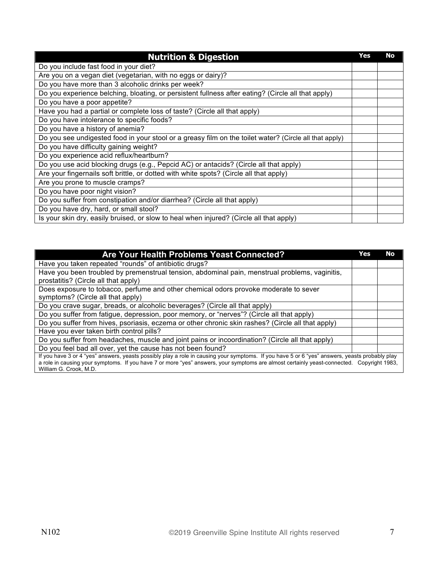| <b>Nutrition &amp; Digestion</b>                                                                       | Yes | No |
|--------------------------------------------------------------------------------------------------------|-----|----|
| Do you include fast food in your diet?                                                                 |     |    |
| Are you on a vegan diet (vegetarian, with no eggs or dairy)?                                           |     |    |
| Do you have more than 3 alcoholic drinks per week?                                                     |     |    |
| Do you experience belching, bloating, or persistent fullness after eating? (Circle all that apply)     |     |    |
| Do you have a poor appetite?                                                                           |     |    |
| Have you had a partial or complete loss of taste? (Circle all that apply)                              |     |    |
| Do you have intolerance to specific foods?                                                             |     |    |
| Do you have a history of anemia?                                                                       |     |    |
| Do you see undigested food in your stool or a greasy film on the toilet water? (Circle all that apply) |     |    |
| Do you have difficulty gaining weight?                                                                 |     |    |
| Do you experience acid reflux/heartburn?                                                               |     |    |
| Do you use acid blocking drugs (e.g., Pepcid AC) or antacids? (Circle all that apply)                  |     |    |
| Are your fingernails soft brittle, or dotted with white spots? (Circle all that apply)                 |     |    |
| Are you prone to muscle cramps?                                                                        |     |    |
| Do you have poor night vision?                                                                         |     |    |
| Do you suffer from constipation and/or diarrhea? (Circle all that apply)                               |     |    |
| Do you have dry, hard, or small stool?                                                                 |     |    |
| Is your skin dry, easily bruised, or slow to heal when injured? (Circle all that apply)                |     |    |

| Are Your Health Problems Yeast Connected?                                                                                                                                                                                                                                                                             | Yes | No |
|-----------------------------------------------------------------------------------------------------------------------------------------------------------------------------------------------------------------------------------------------------------------------------------------------------------------------|-----|----|
| Have you taken repeated "rounds" of antibiotic drugs?                                                                                                                                                                                                                                                                 |     |    |
| Have you been troubled by premenstrual tension, abdominal pain, menstrual problems, vaginitis,                                                                                                                                                                                                                        |     |    |
| prostatitis? (Circle all that apply)                                                                                                                                                                                                                                                                                  |     |    |
| Does exposure to tobacco, perfume and other chemical odors provoke moderate to sever                                                                                                                                                                                                                                  |     |    |
| symptoms? (Circle all that apply)                                                                                                                                                                                                                                                                                     |     |    |
| Do you crave sugar, breads, or alcoholic beverages? (Circle all that apply)                                                                                                                                                                                                                                           |     |    |
| Do you suffer from fatigue, depression, poor memory, or "nerves"? (Circle all that apply)                                                                                                                                                                                                                             |     |    |
| Do you suffer from hives, psoriasis, eczema or other chronic skin rashes? (Circle all that apply)                                                                                                                                                                                                                     |     |    |
| Have you ever taken birth control pills?                                                                                                                                                                                                                                                                              |     |    |
| Do you suffer from headaches, muscle and joint pains or incoordination? (Circle all that apply)                                                                                                                                                                                                                       |     |    |
| Do you feel bad all over, yet the cause has not been found?                                                                                                                                                                                                                                                           |     |    |
| If you have 3 or 4 "yes" answers, yeasts possibly play a role in causing your symptoms. If you have 5 or 6 "yes" answers, yeasts probably play<br>a role in causing your symptoms. If you have 7 or more "yes" answers, your symptoms are almost certainly yeast-connected. Copyright 1983,<br>William G. Crook, M.D. |     |    |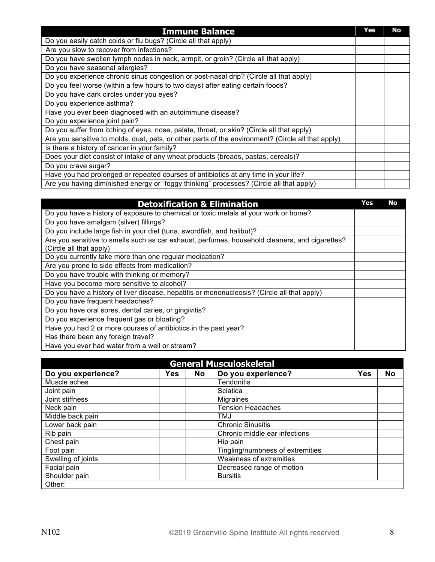| <b>Immune Balance</b>                                                                              | Yes | No |
|----------------------------------------------------------------------------------------------------|-----|----|
| Do you easily catch colds or flu bugs? (Circle all that apply)                                     |     |    |
| Are you slow to recover from infections?                                                           |     |    |
| Do you have swollen lymph nodes in neck, armpit, or groin? (Circle all that apply)                 |     |    |
| Do you have seasonal allergies?                                                                    |     |    |
| Do you experience chronic sinus congestion or post-nasal drip? (Circle all that apply)             |     |    |
| Do you feel worse (within a few hours to two days) after eating certain foods?                     |     |    |
| Do you have dark circles under you eyes?                                                           |     |    |
| Do you experience asthma?                                                                          |     |    |
| Have you ever been diagnosed with an autoimmune disease?                                           |     |    |
| Do you experience joint pain?                                                                      |     |    |
| Do you suffer from itching of eyes, nose, palate, throat, or skin? (Circle all that apply)         |     |    |
| Are you sensitive to molds, dust, pets, or other parts of the environment? (Circle all that apply) |     |    |
| Is there a history of cancer in your family?                                                       |     |    |
| Does your diet consist of intake of any wheat products (breads, pastas, cereals)?                  |     |    |
| Do you crave sugar?                                                                                |     |    |
| Have you had prolonged or repeated courses of antibiotics at any time in your life?                |     |    |
| Are you having diminished energy or "foggy thinking" processes? (Circle all that apply)            |     |    |

| <b>Detoxification &amp; Elimination</b>                                                        | Yes | No |
|------------------------------------------------------------------------------------------------|-----|----|
| Do you have a history of exposure to chemical or toxic metals at your work or home?            |     |    |
| Do you have amalgam (silver) fillings?                                                         |     |    |
| Do you include large fish in your diet (tuna, swordfish, and halibut)?                         |     |    |
| Are you sensitive to smells such as car exhaust, perfumes, household cleaners, and cigarettes? |     |    |
| (Circle all that apply)                                                                        |     |    |
| Do you currently take more than one regular medication?                                        |     |    |
| Are you prone to side effects from medication?                                                 |     |    |
| Do you have trouble with thinking or memory?                                                   |     |    |
| Have you become more sensitive to alcohol?                                                     |     |    |
| Do you have a history of liver disease, hepatitis or mononucleosis? (Circle all that apply)    |     |    |
| Do you have frequent headaches?                                                                |     |    |
| Do you have oral sores, dental caries, or gingivitis?                                          |     |    |
| Do you experience frequent gas or bloating?                                                    |     |    |
| Have you had 2 or more courses of antibiotics in the past year?                                |     |    |
| Has there been any foreign travel?                                                             |     |    |
| Have you ever had water from a well or stream?                                                 |     |    |

|                    |     |    | <b>General Musculoskeletal</b>   |            |           |
|--------------------|-----|----|----------------------------------|------------|-----------|
| Do you experience? | Yes | No | Do you experience?               | <b>Yes</b> | <b>No</b> |
| Muscle aches       |     |    | <b>Tendonitis</b>                |            |           |
| Joint pain         |     |    | Sciatica                         |            |           |
| Joint stiffness    |     |    | <b>Migraines</b>                 |            |           |
| Neck pain          |     |    | <b>Tension Headaches</b>         |            |           |
| Middle back pain   |     |    | TMJ                              |            |           |
| Lower back pain    |     |    | <b>Chronic Sinusitis</b>         |            |           |
| Rib pain           |     |    | Chronic middle ear infections    |            |           |
| Chest pain         |     |    | Hip pain                         |            |           |
| Foot pain          |     |    | Tingling/numbness of extremities |            |           |
| Swelling of joints |     |    | <b>Weakness of extremities</b>   |            |           |
| Facial pain        |     |    | Decreased range of motion        |            |           |
| Shoulder pain      |     |    | <b>Bursitis</b>                  |            |           |
| Other:             |     |    |                                  |            |           |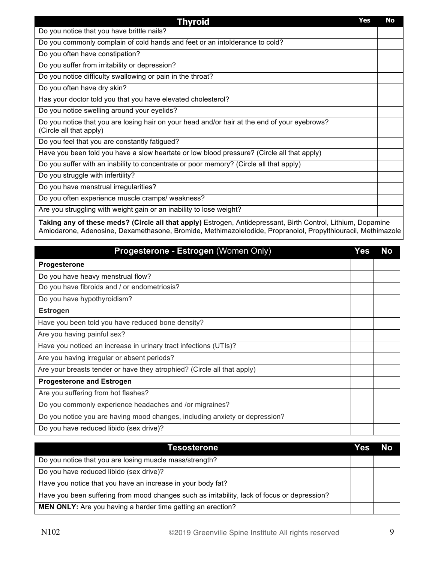| <b>Thyroid</b>                                                                                                          | Yes | <b>No</b> |
|-------------------------------------------------------------------------------------------------------------------------|-----|-----------|
| Do you notice that you have brittle nails?                                                                              |     |           |
| Do you commonly complain of cold hands and feet or an intolderance to cold?                                             |     |           |
| Do you often have constipation?                                                                                         |     |           |
| Do you suffer from irritability or depression?                                                                          |     |           |
| Do you notice difficulty swallowing or pain in the throat?                                                              |     |           |
| Do you often have dry skin?                                                                                             |     |           |
| Has your doctor told you that you have elevated cholesterol?                                                            |     |           |
| Do you notice swelling around your eyelids?                                                                             |     |           |
| Do you notice that you are losing hair on your head and/or hair at the end of your eyebrows?<br>(Circle all that apply) |     |           |
| Do you feel that you are constantly fatigued?                                                                           |     |           |
| Have you been told you have a slow heartate or low blood pressure? (Circle all that apply)                              |     |           |
| Do you suffer with an inability to concentrate or poor memory? (Circle all that apply)                                  |     |           |
| Do you struggle with infertility?                                                                                       |     |           |
| Do you have menstrual irregularities?                                                                                   |     |           |
| Do you often experience muscle cramps/ weakness?                                                                        |     |           |
| Are you struggling with weight gain or an inability to lose weight?                                                     |     |           |
| $\sim$ $\sim$ $\sim$ $\sim$ $\sim$ $\sim$ $\sim$                                                                        |     |           |

**Taking any of these meds? (Circle all that apply)** Estrogen, Antidepressant, Birth Control, Lithium, Dopamine Amiodarone, Adenosine, Dexamethasone, Bromide, MethimazoleIodide, Propranolol, Propylthiouracil, Methimazole

| Progesterone - Estrogen (Women Only)                                        | Yes. | No |
|-----------------------------------------------------------------------------|------|----|
| Progesterone                                                                |      |    |
| Do you have heavy menstrual flow?                                           |      |    |
| Do you have fibroids and / or endometriosis?                                |      |    |
| Do you have hypothyroidism?                                                 |      |    |
| <b>Estrogen</b>                                                             |      |    |
| Have you been told you have reduced bone density?                           |      |    |
| Are you having painful sex?                                                 |      |    |
| Have you noticed an increase in urinary tract infections (UTIs)?            |      |    |
| Are you having irregular or absent periods?                                 |      |    |
| Are your breasts tender or have they atrophied? (Circle all that apply)     |      |    |
| <b>Progesterone and Estrogen</b>                                            |      |    |
| Are you suffering from hot flashes?                                         |      |    |
| Do you commonly experience headaches and /or migraines?                     |      |    |
| Do you notice you are having mood changes, including anxiety or depression? |      |    |
| Do you have reduced libido (sex drive)?                                     |      |    |

| Tesosterone                                                                                  | Yes | No |
|----------------------------------------------------------------------------------------------|-----|----|
| Do you notice that you are losing muscle mass/strength?                                      |     |    |
| Do you have reduced libido (sex drive)?                                                      |     |    |
| Have you notice that you have an increase in your body fat?                                  |     |    |
| Have you been suffering from mood changes such as irritability, lack of focus or depression? |     |    |
| MEN ONLY: Are you having a harder time getting an erection?                                  |     |    |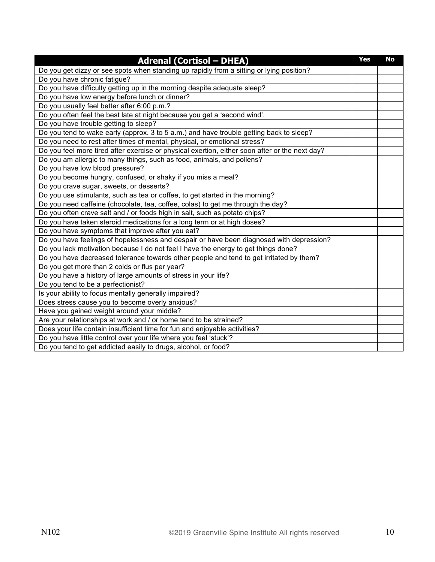| <b>Adrenal (Cortisol - DHEA)</b>                                                               | Yes | <b>No</b> |
|------------------------------------------------------------------------------------------------|-----|-----------|
| Do you get dizzy or see spots when standing up rapidly from a sitting or lying position?       |     |           |
| Do you have chronic fatigue?                                                                   |     |           |
| Do you have difficulty getting up in the morning despite adequate sleep?                       |     |           |
| Do you have low energy before lunch or dinner?                                                 |     |           |
| Do you usually feel better after 6:00 p.m.?                                                    |     |           |
| Do you often feel the best late at night because you get a 'second wind'.                      |     |           |
| Do you have trouble getting to sleep?                                                          |     |           |
| Do you tend to wake early (approx. 3 to 5 a.m.) and have trouble getting back to sleep?        |     |           |
| Do you need to rest after times of mental, physical, or emotional stress?                      |     |           |
| Do you feel more tired after exercise or physical exertion, either soon after or the next day? |     |           |
| Do you am allergic to many things, such as food, animals, and pollens?                         |     |           |
| Do you have low blood pressure?                                                                |     |           |
| Do you become hungry, confused, or shaky if you miss a meal?                                   |     |           |
| Do you crave sugar, sweets, or desserts?                                                       |     |           |
| Do you use stimulants, such as tea or coffee, to get started in the morning?                   |     |           |
| Do you need caffeine (chocolate, tea, coffee, colas) to get me through the day?                |     |           |
| Do you often crave salt and / or foods high in salt, such as potato chips?                     |     |           |
| Do you have taken steroid medications for a long term or at high doses?                        |     |           |
| Do you have symptoms that improve after you eat?                                               |     |           |
| Do you have feelings of hopelessness and despair or have been diagnosed with depression?       |     |           |
| Do you lack motivation because I do not feel I have the energy to get things done?             |     |           |
| Do you have decreased tolerance towards other people and tend to get irritated by them?        |     |           |
| Do you get more than 2 colds or flus per year?                                                 |     |           |
| Do you have a history of large amounts of stress in your life?                                 |     |           |
| Do you tend to be a perfectionist?                                                             |     |           |
| Is your ability to focus mentally generally impaired?                                          |     |           |
| Does stress cause you to become overly anxious?                                                |     |           |
| Have you gained weight around your middle?                                                     |     |           |
| Are your relationships at work and / or home tend to be strained?                              |     |           |
| Does your life contain insufficient time for fun and enjoyable activities?                     |     |           |
| Do you have little control over your life where you feel 'stuck'?                              |     |           |
| Do you tend to get addicted easily to drugs, alcohol, or food?                                 |     |           |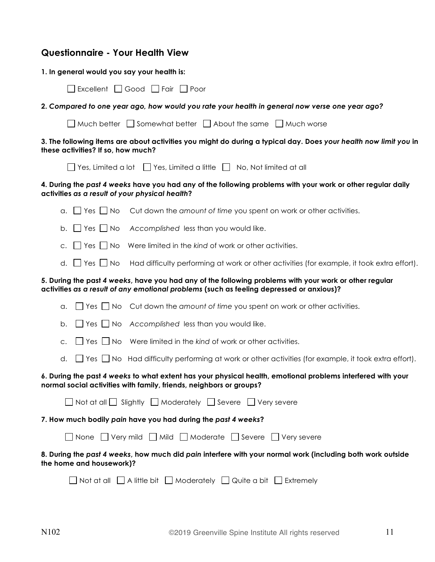#### **Questionnaire - Your Health View**

| 1. In general would you say your health is: |  |  |  |
|---------------------------------------------|--|--|--|
|---------------------------------------------|--|--|--|

| $\Box$ Excellent $\Box$ Good $\Box$ Fair $\Box$ Poor |  |  |
|------------------------------------------------------|--|--|
|------------------------------------------------------|--|--|

**2.** *Compared to one year ago, how would you rate your health in general now verse one year ago?*

|  |  | $\Box$ Much better $\Box$ Somewhat better $\Box$ About the same $\Box$ Much worse |  |  |
|--|--|-----------------------------------------------------------------------------------|--|--|
|--|--|-----------------------------------------------------------------------------------|--|--|

#### **3. The following items are about activities you might do during a typical day. Does** *your health now limit you* **in these activities? If so, how much?**

| $\Box$ Yes, Limited a lot $\Box$ Yes, Limited a little $\Box$ No, Not limited at all |  |  |  |
|--------------------------------------------------------------------------------------|--|--|--|
|--------------------------------------------------------------------------------------|--|--|--|

#### **4. During the** *past 4 weeks* **have you had any of the following problems with your work or other regular daily activities** *as a result of your physical health***?**

| $\alpha$ . $\Box$ Yes $\Box$ No Cut down the amount of time you spent on work or other activities. |
|----------------------------------------------------------------------------------------------------|
| b. $\Box$ Yes $\Box$ No Accomplished less than you would like.                                     |
| c. $\Box$ Yes $\Box$ No Were limited in the kind of work or other activities.                      |

d.  $\Box$  Yes  $\Box$  No Had difficulty performing at work or other activities (for example, it took extra effort).

#### **5. During the past** *4 weeks***, have you had any of the following problems with your work or other regular activities** *as a result of any emotional problems* **(such as feeling depressed or anxious)?**

| $\alpha.$ $\Box$ Yes $\Box$ No Cut down the amount of time you spent on work or other activities.                                                                                  |
|------------------------------------------------------------------------------------------------------------------------------------------------------------------------------------|
| b. $\Box$ Yes $\Box$ No Accomplished less than you would like.                                                                                                                     |
| $\Box$ Yes $\Box$ No Were limited in the kind of work or other activities.<br>C <sub>1</sub>                                                                                       |
| d. $\Box$ Yes $\Box$ No Had difficulty performing at work or other activities (for example, it took extra effort).                                                                 |
| 6. During the past 4 weeks to what extent has your physical health, emotional problems interfered with your<br>normal social activities with family, friends, neighbors or groups? |
| $\Box$ Not at all $\Box$ Slightly $\Box$ Moderately $\Box$ Severe $\Box$ Very severe                                                                                               |
| 7. How much bodily pain have you had during the past 4 weeks?                                                                                                                      |
| $\Box$ None $\Box$ Very mild $\Box$ Mild $\Box$ Moderate $\Box$ Severe $\Box$ Very severe                                                                                          |
| 8. During the past 4 weeks, how much did pain interfere with your normal work (including both work outside<br>the home and housework)?                                             |
| $\Box$ Not at all $\Box$ A little bit $\Box$ Moderately $\Box$ Quite a bit $\Box$ Extremely                                                                                        |
|                                                                                                                                                                                    |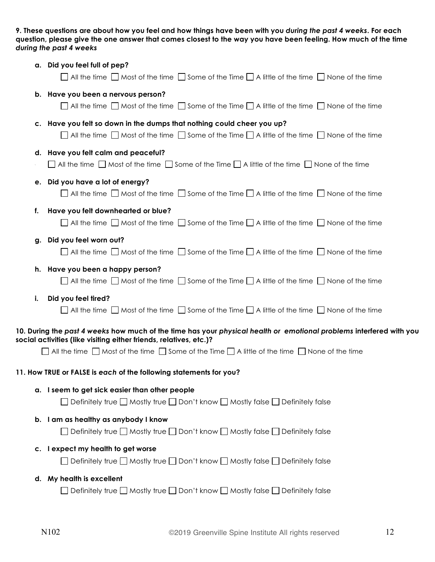**9. These questions are about how you feel and how things have been with you** *during the past 4 weeks***. For each question, please give the one answer that comes closest to the way you have been feeling. How much of the time**  *during the past 4 weeks* 

|    | a. Did you feel full of pep?                                                                                            |
|----|-------------------------------------------------------------------------------------------------------------------------|
|    | $\Box$ All the time $\Box$ Most of the time $\Box$ Some of the Time $\Box$ A little of the time $\Box$ None of the time |
|    | b. Have you been a nervous person?                                                                                      |
|    | $\Box$ All the time $\Box$ Most of the time $\Box$ Some of the Time $\Box$ A little of the time $\Box$ None of the time |
|    | c. Have you felt so down in the dumps that nothing could cheer you up?                                                  |
|    | $\Box$ All the time $\Box$ Most of the time $\Box$ Some of the Time $\Box$ A little of the time $\Box$ None of the time |
|    | d. Have you felt calm and peaceful?                                                                                     |
|    | $\Box$ All the time $\Box$ Most of the time $\Box$ Some of the Time $\Box$ A little of the time $\Box$ None of the time |
|    | e. Did you have a lot of energy?                                                                                        |
|    | $\Box$ All the time $\Box$ Most of the time $\Box$ Some of the Time $\Box$ A little of the time $\Box$ None of the time |
| f. | Have you felt downhearted or blue?                                                                                      |
|    | $\Box$ All the time $\Box$ Most of the time $\Box$ Some of the Time $\Box$ A little of the time $\Box$ None of the time |
|    | g. Did you feel worn out?                                                                                               |
|    | $\Box$ All the time $\Box$ Most of the time $\Box$ Some of the Time $\Box$ A little of the time $\Box$ None of the time |
|    | h. Have you been a happy person?                                                                                        |
|    | $\Box$ All the time $\Box$ Most of the time $\Box$ Some of the Time $\Box$ A little of the time $\Box$ None of the time |
| i. | Did you feel tired?                                                                                                     |
|    | $\Box$ All the time $\Box$ Most of the time $\Box$ Some of the Time $\Box$ A little of the time $\Box$ None of the time |
|    | 10. During the past 4 weeks how much of the time has your physical health or emotional problems interfered with you     |
|    | social activities (like visiting either friends, relatives, etc.)?                                                      |
|    | $\Box$ All the time $\Box$ Most of the time $\Box$ Some of the Time $\Box$ A little of the time $\Box$ None of the time |
|    | 11. How TRUE or FALSE is each of the following statements for you?                                                      |
|    | a. I seem to get sick easier than other people                                                                          |
|    | $\Box$ Definitely true $\Box$ Mostly true $\Box$ Don't know $\Box$ Mostly false $\Box$ Definitely false                 |
|    | b. I am as healthy as anybody I know                                                                                    |
|    | $\Box$ Definitely true $\Box$ Mostly true $\Box$ Don't know $\Box$ Mostly false $\Box$ Definitely false                 |
|    | c. I expect my health to get worse                                                                                      |
|    | $\Box$ Definitely true $\Box$ Mostly true $\Box$ Don't know $\Box$ Mostly false $\Box$ Definitely false                 |
|    | d. My health is excellent                                                                                               |
|    | $\Box$ Definitely true $\Box$ Mostly true $\Box$ Don't know $\Box$ Mostly false $\Box$ Definitely false                 |
|    |                                                                                                                         |
|    |                                                                                                                         |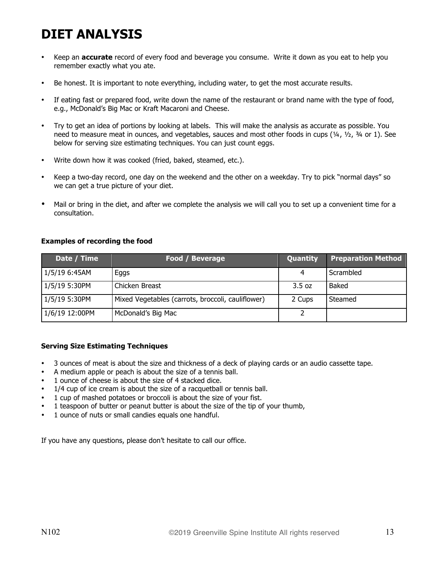## **DIET ANALYSIS**

- Keep an **accurate** record of every food and beverage you consume. Write it down as you eat to help you remember exactly what you ate.
- Be honest. It is important to note everything, including water, to get the most accurate results.
- If eating fast or prepared food, write down the name of the restaurant or brand name with the type of food, e.g., McDonald's Big Mac or Kraft Macaroni and Cheese.
- Try to get an idea of portions by looking at labels. This will make the analysis as accurate as possible. You need to measure meat in ounces, and vegetables, sauces and most other foods in cups (¼, ½, ¾ or 1). See below for serving size estimating techniques. You can just count eggs.
- Write down how it was cooked (fried, baked, steamed, etc.).
- Keep a two-day record, one day on the weekend and the other on a weekday. Try to pick "normal days" so we can get a true picture of your diet.
- Mail or bring in the diet, and after we complete the analysis we will call you to set up a convenient time for a consultation.

#### **Examples of recording the food**

| Date / Time    | Food / Beverage                                   | Quantity | <b>Preparation Method</b> |
|----------------|---------------------------------------------------|----------|---------------------------|
| 1/5/19 6:45AM  | Eggs                                              |          | Scrambled                 |
| 1/5/19 5:30PM  | Chicken Breast                                    | 3.5 oz   | Baked                     |
| 1/5/19 5:30PM  | Mixed Vegetables (carrots, broccoli, cauliflower) | 2 Cups   | Steamed                   |
| 1/6/19 12:00PM | McDonald's Big Mac                                |          |                           |

#### **Serving Size Estimating Techniques**

- 3 ounces of meat is about the size and thickness of a deck of playing cards or an audio cassette tape.
- A medium apple or peach is about the size of a tennis ball.
- 1 ounce of cheese is about the size of 4 stacked dice.
- 1/4 cup of ice cream is about the size of a racquetball or tennis ball.
- 1 cup of mashed potatoes or broccoli is about the size of your fist.
- 1 teaspoon of butter or peanut butter is about the size of the tip of your thumb,
- 1 ounce of nuts or small candies equals one handful.

If you have any questions, please don't hesitate to call our office.